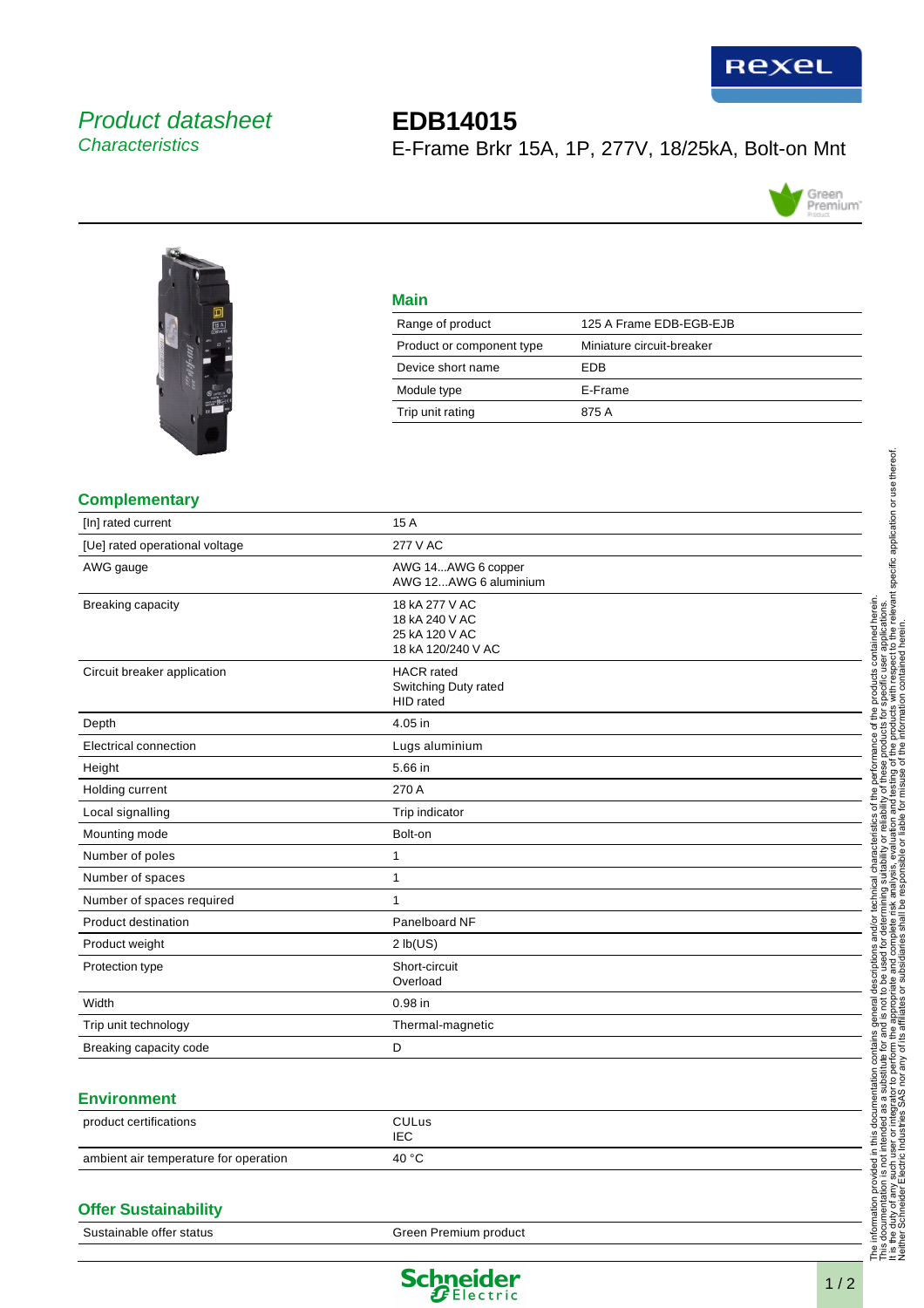

# Product datasheet **Characteristics**

# **EDB14015** E-Frame Brkr 15A, 1P, 277V, 18/25kA, Bolt-on Mnt





## **Main**

| Range of product          | 125 A Frame EDB-EGB-EJB   |
|---------------------------|---------------------------|
| Product or component type | Miniature circuit-breaker |
| Device short name         | FDB                       |
| Module type               | E-Frame                   |
| Trip unit rating          | 875 A                     |
|                           |                           |

### **Complementary**

| contained herein.<br>ser applications.<br>ect to the relevant specific application or use thereof.<br><b>277 V AC</b><br>AWG 14AWG 6 copper<br>AWG 12AWG 6 aluminium<br>18 kA 277 V AC<br>18 kA 240 V AC<br>25 kA 120 V AC<br>18 kA 120/240 V AC<br>becific user<br><b>HACR</b> rated<br>Switching Duty rated<br><b>HID</b> rated<br>₫ |
|----------------------------------------------------------------------------------------------------------------------------------------------------------------------------------------------------------------------------------------------------------------------------------------------------------------------------------------|
|                                                                                                                                                                                                                                                                                                                                        |
|                                                                                                                                                                                                                                                                                                                                        |
|                                                                                                                                                                                                                                                                                                                                        |
|                                                                                                                                                                                                                                                                                                                                        |
|                                                                                                                                                                                                                                                                                                                                        |
| ഛ                                                                                                                                                                                                                                                                                                                                      |
| Ω<br>Lugs aluminium<br>ā                                                                                                                                                                                                                                                                                                               |
| these<br>sting of<br>suse of<br>5                                                                                                                                                                                                                                                                                                      |
| ा<br>वि9ा<br>φ                                                                                                                                                                                                                                                                                                                         |
| iabili<br>n and<br>Trip indicator                                                                                                                                                                                                                                                                                                      |
| စ္<br>৯                                                                                                                                                                                                                                                                                                                                |
| Ξ                                                                                                                                                                                                                                                                                                                                      |
| 显                                                                                                                                                                                                                                                                                                                                      |
|                                                                                                                                                                                                                                                                                                                                        |
| đ<br>Panelboard NF<br>亟<br>بهِ<br>Φ                                                                                                                                                                                                                                                                                                    |
| 2 lb(US)<br>୪                                                                                                                                                                                                                                                                                                                          |
| Short-circuit<br>ëŝ<br>å<br>Overload<br>Φ<br>₽                                                                                                                                                                                                                                                                                         |
| ē<br>$\frac{1}{2}$                                                                                                                                                                                                                                                                                                                     |
| <u>ی</u><br>Thermal-magnetic<br>ins de<br>Fine<br>Le d                                                                                                                                                                                                                                                                                 |
| 호된                                                                                                                                                                                                                                                                                                                                     |
| entation con<br>a substitute f<br>tor to perfor<br>AS nor any o<br>∻σι                                                                                                                                                                                                                                                                 |
| មិ <u>ទ្</u> ≣ី≛                                                                                                                                                                                                                                                                                                                       |
| Endra<br>Endra<br>Endra                                                                                                                                                                                                                                                                                                                |
|                                                                                                                                                                                                                                                                                                                                        |
| The information provided in thi<br>This documentation is not intent<br>It is the duty of any such user<br>Neither Schneider Electric Ind                                                                                                                                                                                               |
| Green Premium product                                                                                                                                                                                                                                                                                                                  |
|                                                                                                                                                                                                                                                                                                                                        |
| Bolt-on                                                                                                                                                                                                                                                                                                                                |

### **Offer Sustainability**